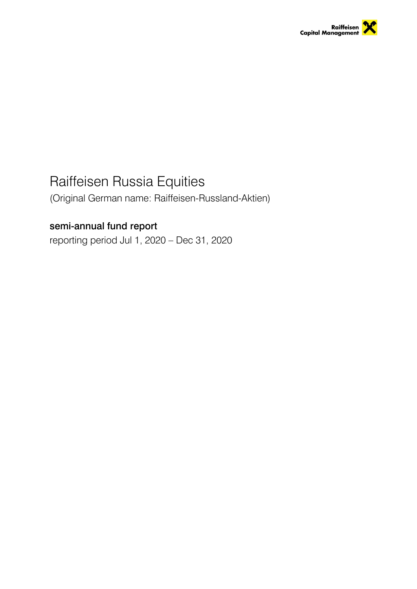

# Raiffeisen Russia Equities

(Original German name: Raiffeisen-Russland-Aktien)

# semi-annual fund report

reporting period Jul 1, 2020 – Dec 31, 2020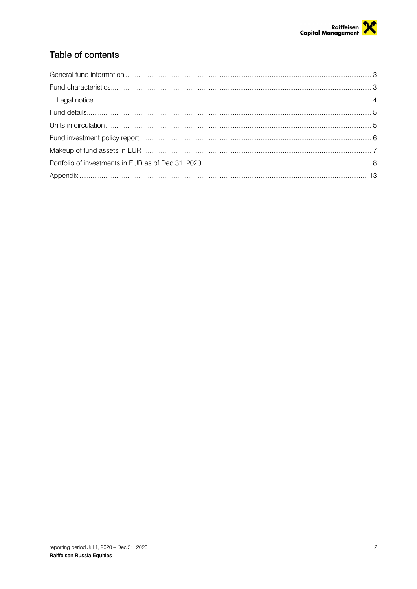

# Table of contents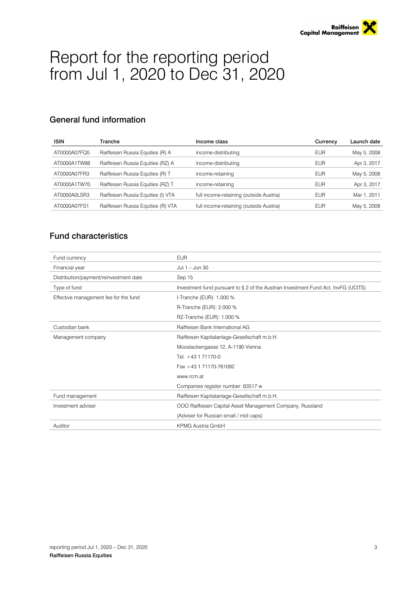# Report for the reporting period from Jul 1, 2020 to Dec 31, 2020

# General fund information

| <b>ISIN</b>  | Tranche                            | Income class                            | Currency   | Launch date |
|--------------|------------------------------------|-----------------------------------------|------------|-------------|
| AT0000A07FQ5 | Raiffeisen Russia Equities (R) A   | income-distributing                     | <b>EUR</b> | May 5, 2008 |
| AT0000A1TW88 | Raiffeisen Russia Equities (RZ) A  | income-distributing                     | <b>EUR</b> | Apr 3, 2017 |
| AT0000A07FR3 | Raiffeisen Russia Equities (R) T   | income-retaining                        | <b>EUR</b> | May 5, 2008 |
| AT0000A1TW70 | Raiffeisen Russia Equities (RZ) T  | income-retaining                        | <b>EUR</b> | Apr 3, 2017 |
| AT0000A0LSR3 | Raiffeisen Russia Equities (I) VTA | full income-retaining (outside Austria) | <b>EUR</b> | Mar 1, 2011 |
| AT0000A07FS1 | Raiffeisen Russia Equities (R) VTA | full income-retaining (outside Austria) | <b>EUR</b> | May 5, 2008 |
|              |                                    |                                         |            |             |

## Fund characteristics

| Fund currency                          | <b>EUR</b>                                                                         |
|----------------------------------------|------------------------------------------------------------------------------------|
| Financial year                         | Jul $1 -$ Jun 30                                                                   |
| Distribution/payment/reinvestment date | Sep 15                                                                             |
| Type of fund                           | Investment fund pursuant to § 2 of the Austrian Investment Fund Act, InvFG (UCITS) |
| Effective management fee for the fund  | I-Tranche (EUR): 1.000 %                                                           |
|                                        | R-Tranche (EUR): 2.000 %                                                           |
|                                        | RZ-Tranche (EUR): 1.000 %                                                          |
| Custodian bank                         | Raiffeisen Bank International AG                                                   |
| Management company                     | Raiffeisen Kapitalanlage-Gesellschaft m.b.H.                                       |
|                                        | Mooslackengasse 12, A-1190 Vienna                                                  |
|                                        | Tel. +43 1 71170-0                                                                 |
|                                        | Fax +43 1 71170-761092                                                             |
|                                        | www.rcm.at                                                                         |
|                                        | Companies register number: 83517 w                                                 |
| Fund management                        | Raiffeisen Kapitalanlage-Gesellschaft m.b.H.                                       |
| Investment adviser                     | OOO Raiffeisen Capital Asset Management Company, Russland                          |
|                                        | (Adviser for Russian small / mid caps)                                             |
| Auditor                                | KPMG Austria GmbH                                                                  |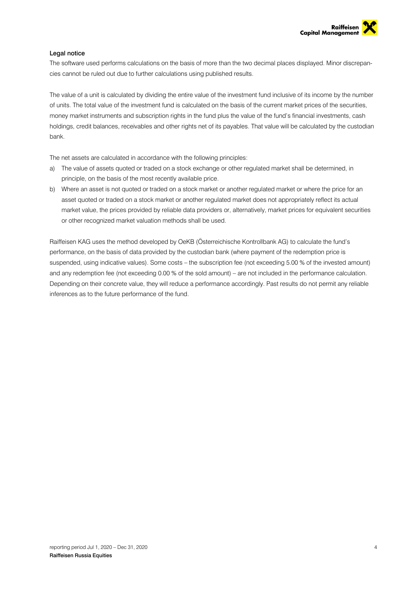

#### Legal notice

The software used performs calculations on the basis of more than the two decimal places displayed. Minor discrepancies cannot be ruled out due to further calculations using published results.

The value of a unit is calculated by dividing the entire value of the investment fund inclusive of its income by the number of units. The total value of the investment fund is calculated on the basis of the current market prices of the securities, money market instruments and subscription rights in the fund plus the value of the fund's financial investments, cash holdings, credit balances, receivables and other rights net of its payables. That value will be calculated by the custodian bank.

The net assets are calculated in accordance with the following principles:

- a) The value of assets quoted or traded on a stock exchange or other regulated market shall be determined, in principle, on the basis of the most recently available price.
- b) Where an asset is not quoted or traded on a stock market or another requlated market or where the price for an asset quoted or traded on a stock market or another regulated market does not appropriately reflect its actual market value, the prices provided by reliable data providers or, alternatively, market prices for equivalent securities or other recognized market valuation methods shall be used.

Raiffeisen KAG uses the method developed by OeKB (Österreichische Kontrollbank AG) to calculate the fund's performance, on the basis of data provided by the custodian bank (where payment of the redemption price is suspended, using indicative values). Some costs – the subscription fee (not exceeding 5.00 % of the invested amount) and any redemption fee (not exceeding 0.00 % of the sold amount) – are not included in the performance calculation. Depending on their concrete value, they will reduce a performance accordingly. Past results do not permit any reliable inferences as to the future performance of the fund.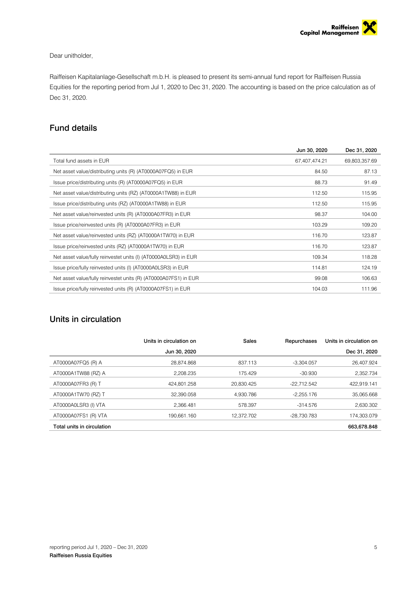#### Dear unitholder,

Raiffeisen Kapitalanlage-Gesellschaft m.b.H. is pleased to present its semi-annual fund report for Raiffeisen Russia Equities for the reporting period from Jul 1, 2020 to Dec 31, 2020. The accounting is based on the price calculation as of Dec 31, 2020.

### Fund details

|                                                                  | Jun 30, 2020  | Dec 31, 2020  |
|------------------------------------------------------------------|---------------|---------------|
| Total fund assets in EUR                                         | 67,407,474.21 | 69,803,357.69 |
| Net asset value/distributing units (R) (AT0000A07FQ5) in EUR     | 84.50         | 87.13         |
| Issue price/distributing units (R) (AT0000A07FQ5) in EUR         | 88.73         | 91.49         |
| Net asset value/distributing units (RZ) (AT0000A1TW88) in EUR    | 112.50        | 115.95        |
| Issue price/distributing units (RZ) (AT0000A1TW88) in EUR        | 112.50        | 115.95        |
| Net asset value/reinvested units (R) (AT0000A07FR3) in EUR       | 98.37         | 104.00        |
| Issue price/reinvested units (R) (AT0000A07FR3) in EUR           | 103.29        | 109.20        |
| Net asset value/reinvested units (RZ) (AT0000A1TW70) in EUR      | 116.70        | 123.87        |
| Issue price/reinvested units (RZ) (AT0000A1TW70) in EUR          | 116.70        | 123.87        |
| Net asset value/fully reinvestet units (I) (AT0000A0LSR3) in EUR | 109.34        | 118.28        |
| Issue price/fully reinvested units (I) (AT0000A0LSR3) in EUR     | 114.81        | 124.19        |
| Net asset value/fully reinvestet units (R) (AT0000A07FS1) in EUR | 99.08         | 106.63        |
| Issue price/fully reinvested units (R) (AT0000A07FS1) in EUR     | 104.03        | 111.96        |
|                                                                  |               |               |

# Units in circulation

|                            | Units in circulation on | Sales      | Repurchases  | Units in circulation on |
|----------------------------|-------------------------|------------|--------------|-------------------------|
|                            | Jun 30, 2020            |            |              | Dec 31, 2020            |
| AT0000A07FQ5 (R) A         | 28.874.868              | 837.113    | $-3.304.057$ | 26.407.924              |
| AT0000A1TW88 (RZ) A        | 2.208.235               | 175.429    | $-30.930$    | 2.352.734               |
| AT0000A07FR3 (R) T         | 424.801.258             | 20.830.425 | -22.712.542  | 422.919.141             |
| AT0000A1TW70 (RZ) T        | 32,390.058              | 4.930.786  | $-2.255.176$ | 35,065.668              |
| AT0000A0LSR3 (I) VTA       | 2.366.481               | 578.397    | $-314.576$   | 2.630.302               |
| AT0000A07FS1 (R) VTA       | 190.661.160             | 12,372.702 | -28.730.783  | 174.303.079             |
| Total units in circulation |                         |            |              | 663,678.848             |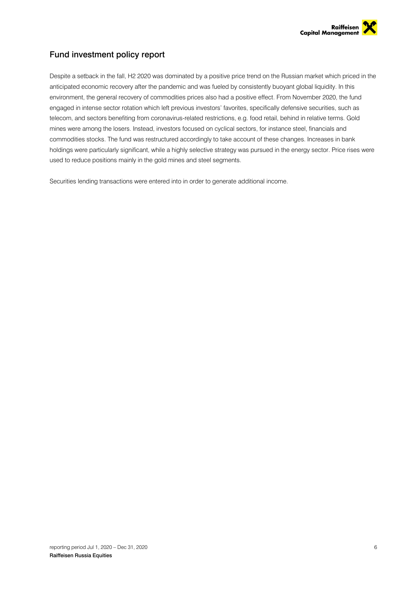

## Fund investment policy report

Despite a setback in the fall, H2 2020 was dominated by a positive price trend on the Russian market which priced in the anticipated economic recovery after the pandemic and was fueled by consistently buoyant global liquidity. In this environment, the general recovery of commodities prices also had a positive effect. From November 2020, the fund engaged in intense sector rotation which left previous investors' favorites, specifically defensive securities, such as telecom, and sectors benefiting from coronavirus-related restrictions, e.g. food retail, behind in relative terms. Gold mines were among the losers. Instead, investors focused on cyclical sectors, for instance steel, financials and commodities stocks. The fund was restructured accordingly to take account of these changes. Increases in bank holdings were particularly significant, while a highly selective strategy was pursued in the energy sector. Price rises were used to reduce positions mainly in the gold mines and steel segments.

Securities lending transactions were entered into in order to generate additional income.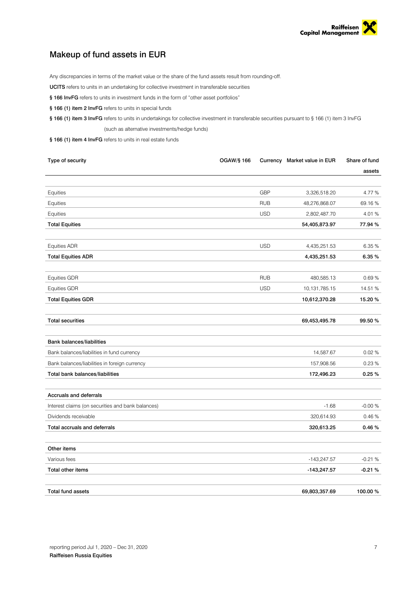

## Makeup of fund assets in EUR

Any discrepancies in terms of the market value or the share of the fund assets result from rounding-off.

UCITS refers to units in an undertaking for collective investment in transferable securities

- § 166 InvFG refers to units in investment funds in the form of "other asset portfolios"
- § 166 (1) item 2 InvFG refers to units in special funds

§ 166 (1) item 3 InvFG refers to units in undertakings for collective investment in transferable securities pursuant to § 166 (1) item 3 InvFG (such as alternative investments/hedge funds)

§ 166 (1) item 4 InvFG refers to units in real estate funds

| Type of security                                  | <b>OGAW/§ 166</b> |            | Currency Market value in EUR | Share of fund |
|---------------------------------------------------|-------------------|------------|------------------------------|---------------|
|                                                   |                   |            |                              | assets        |
|                                                   |                   |            |                              |               |
| Equities                                          |                   | <b>GBP</b> | 3,326,518.20                 | 4.77%         |
| Equities                                          |                   | <b>RUB</b> | 48,276,868.07                | 69.16%        |
| Equities                                          |                   | <b>USD</b> | 2,802,487.70                 | 4.01%         |
| <b>Total Equities</b>                             |                   |            | 54,405,873.97                | 77.94 %       |
| <b>Equities ADR</b>                               |                   | <b>USD</b> | 4,435,251.53                 | 6.35 %        |
| <b>Total Equities ADR</b>                         |                   |            | 4,435,251.53                 | 6.35%         |
| <b>Equities GDR</b>                               |                   | <b>RUB</b> | 480,585.13                   | 0.69%         |
| <b>Equities GDR</b>                               |                   | <b>USD</b> | 10,131,785.15                | 14.51 %       |
| <b>Total Equities GDR</b>                         |                   |            | 10,612,370.28                | 15.20 %       |
| <b>Total securities</b>                           |                   |            | 69,453,495.78                | 99.50 %       |
| <b>Bank balances/liabilities</b>                  |                   |            |                              |               |
| Bank balances/liabilities in fund currency        |                   |            | 14,587.67                    | 0.02%         |
| Bank balances/liabilities in foreign currency     |                   |            | 157,908.56                   | 0.23%         |
| Total bank balances/liabilities                   |                   |            | 172,496.23                   | 0.25%         |
| Accruals and deferrals                            |                   |            |                              |               |
| Interest claims (on securities and bank balances) |                   |            | $-1.68$                      | $-0.00%$      |
| Dividends receivable                              |                   |            | 320,614.93                   | 0.46%         |
| Total accruals and deferrals                      |                   |            | 320,613.25                   | 0.46%         |
| Other items                                       |                   |            |                              |               |
| Various fees                                      |                   |            | $-143,247.57$                | $-0.21%$      |
| <b>Total other items</b>                          |                   |            | -143,247.57                  | $-0.21%$      |
| <b>Total fund assets</b>                          |                   |            | 69,803,357.69                | 100.00 %      |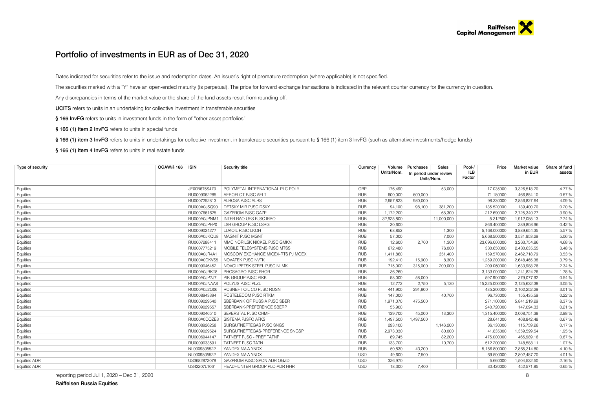#### Portfolio of investments in EUR as of Dec 31, 2020

Dates indicated for securities refer to the issue and redemption dates. An issuer's right of premature redemption (where applicable) is not specified.

The securities marked with a "Y" have an open-ended maturity (is perpetual). The price for forward exchange transactions is indicated in the relevant counter currency for the currency in question.

Any discrepancies in terms of the market value or the share of the fund assets result from rounding-off.

UCITS refers to units in an undertaking for collective investment in transferable securities

§ 166 InvFG refers to units in investment funds in the form of "other asset portfolios"

§ 166 (1) item 2 InvFG refers to units in special funds

§ 166 (1) item 3 InvFG refers to units in undertakings for collective investment in transferable securities pursuant to § 166 (1) item 3 InvFG (such as alternative investments/hedge funds)

§ 166 (1) item 4 InvFG refers to units in real estate funds

| Type of security    | OGAW/§ 166   ISIN |              | <b>Security title</b>             |            | Currency | Volume<br>Units/Nom. | Purchases<br>In period under review<br>Units/Nom. | Sales      | Pool-/<br>Price<br>ILB<br>Factor | Market value<br>in EUR | Share of fund<br>assets |
|---------------------|-------------------|--------------|-----------------------------------|------------|----------|----------------------|---------------------------------------------------|------------|----------------------------------|------------------------|-------------------------|
| Equities            |                   | JE00B6T5S470 | POLYMETAL INTERNATIONAL PLC POLY  | GBP        |          | 176.490              |                                                   | 53,000     | 17.035000                        | 3,326,518.20           | 4.77%                   |
| Equities            |                   | RU0009062285 | AEROFLOT PJSC AFLT                | <b>RUB</b> |          | 600,000              | 600,000                                           |            | 71.180000                        | 466,854.10             | 0.67%                   |
| Equities            |                   | RU0007252813 | ALROSA PJSC ALRS                  | <b>RUB</b> |          | 2.657.823            | 980,000                                           |            | 98.330000                        | 2,856,827.64           | 4.09%                   |
| Equities            |                   | RU000A0JSQ90 | DETSKY MIR PJSC DSKY              | <b>RUB</b> |          | 94,100               | 98.100                                            | 381,200    | 135.520000                       | 139,400.70             | 0.20%                   |
| Equities            |                   | RU0007661625 | <b>GAZPROM PJSC GAZP</b>          | <b>RUB</b> |          | 1,172,200            |                                                   | 68,300     | 212.690000                       | 2,725,340.27           | 3.90 %                  |
| Equities            |                   | RU000A0JPNM1 | <b>INTER RAO UES PJSC IRAO</b>    | <b>RUB</b> |          | 32.925.800           |                                                   | 11,000,000 | 5.312500                         | 1,912,085.13           | 2.74 %                  |
| Equities            |                   | RU000A0JPFP0 | <b>LSR GROUP PJSC LSRG</b>        | <b>RUB</b> |          | 30.600               |                                                   |            | 866,400000                       | 289,808.96             | 0.42%                   |
| Equities            |                   | RU0009024277 | LUKOIL PJSC LKOH                  | <b>RUB</b> |          | 68,852               |                                                   | 1,300      | 5,168.000000                     | 3,889,654.35           | 5.57 %                  |
| Equities            |                   | RU000A0JKQU8 | MAGNIT PJSC MGNT                  | <b>RUB</b> |          | 57,000               |                                                   | 7,000      | 5,668.500000                     | 3,531,953.29           | 5.06%                   |
| Equities            |                   | RU0007288411 | MMC NORILSK NICKEL PJSC GMKN      | <b>RUB</b> |          | 12,600               | 2,700                                             | 1,300      | 23,696.000000                    | 3,263,754.86           | 4.68%                   |
| Equities            |                   | RU0007775219 | MOBILE TELESYSTEMS PJSC MTSS      | <b>RUB</b> |          | 672,480              |                                                   | 76,000     | 330.650000                       | 2,430,635.55           | 3.48%                   |
| Equities            |                   | RU000A0JR4A1 | MOSCOW EXCHANGE MICEX-RTS PJ MOEX | <b>RUB</b> |          | 1.411.860            |                                                   | 351.400    | 159.570000                       | 2,462,718.79           | 3.53 %                  |
| Equities            |                   | RU000A0DKVS5 | NOVATEK PJSC NVTK                 | <b>RUB</b> |          | 192.410              | 15.900                                            | 8.300      | 1,259.200000                     | 2,648,465.38           | 3.79%                   |
| Equities            |                   | RU0009046452 | NOVOLIPETSK STEEL PJSC NLMK       | <b>RUB</b> |          | 715,000              | 315,000                                           | 200,000    | 209.060000                       | 1,633,988.26           | 2.34 %                  |
| Equities            |                   | RU000A0JRKT8 | PHOSAGRO PJSC PHOR                | <b>RUB</b> |          | 36,260               |                                                   |            | 3.133.000000                     | 1,241,824.26           | 1.78%                   |
| Equities            |                   | RU000A0JP7J7 | PIK GROUP PJSC PIKK               | <b>RUB</b> |          | 58,000               | 58,000                                            |            | 597.900000                       | 379,077.92             | 0.54 %                  |
| Equities            |                   | RU000A0JNAA8 | POLYUS PJSC PLZL                  | <b>RUB</b> |          | 12.772               | 2,750                                             | 5.130      | 15,225.000000                    | 2,125,632.38           | 3.05 %                  |
| Equities            |                   | RU000A0J2Q06 | ROSNEFT OIL CO PJSC ROSN          | <b>RUB</b> |          | 441.900              | 291,900                                           |            | 435.200000                       | 2,102,252.29           | 3.01 %                  |
| Equities            |                   | RU0008943394 | ROSTELECOM PJSC RTKM              | <b>RUB</b> |          | 147.000              |                                                   | 40,700     | 96.730000                        | 155,435.59             | 0.22%                   |
| Equities            |                   | RU0009029540 | SBERBANK OF RUSSIA PJSC SBER      | <b>RUB</b> |          | 1,971,070            | 475,500                                           |            | 271.100000                       | 5,841,219.29           | 8.37%                   |
| Equities            |                   | RU0009029557 | SBERBANK-PREFERENCE SBERP         | <b>RUB</b> |          | 55,900               |                                                   |            | 240.720000                       | 147,094.33             | 0.21%                   |
| Equities            |                   | RU0009046510 | SEVERSTAL PJSC CHMF               | <b>RUB</b> |          | 139,700              | 45.000                                            | 13,300     | 1,315.400000                     | 2,008,751.38           | 2.88%                   |
| Equities            |                   | RU000A0DQZE3 | SISTEMA PJSFC AFKS                | <b>RUB</b> |          | 1,497,500            | 1.497.500                                         |            | 28.641000                        | 468,842.48             | 0.67%                   |
| Equities            |                   | RU0008926258 | SURGUTNEFTEGAS PJSC SNGS          | <b>RUB</b> |          | 293.100              |                                                   | 1,146,200  | 36.130000                        | 115,759.26             | 0.17%                   |
| Equities            |                   | RU0009029524 | SURGUTNEFTEGAS-PREFERENCE SNGSP   | <b>RUB</b> |          | 2,973,030            |                                                   | 80,000     | 41.835000                        | 1,359,599.54           | 1.95%                   |
| Equities            |                   | RU0006944147 | TATNEFT PJSC - PREF TATNP         | <b>RUB</b> |          | 89,745               |                                                   | 82,200     | 475.000000                       | 465,989.16             | 0.67%                   |
| Equities            |                   | RU0009033591 | TATNEFT PJSC TATN                 | <b>RUB</b> |          | 133,700              |                                                   | 10,700     | 512.200000                       | 748,588.11             | 1.07%                   |
| Equities            |                   | NL0009805522 | YANDEX NV-A YNDX                  | <b>RUB</b> |          | 50,830               | 43,200                                            |            | 5,156.800000                     | 2,865,314.80           | 4.10%                   |
| Equities            |                   | NL0009805522 | YANDEX NV-A YNDX                  | <b>USD</b> |          | 49.600               | 7,500                                             |            | 69.500000                        | 2,802,487.70           | 4.01%                   |
| <b>Equities ADR</b> |                   | US3682872078 | GAZPROM PJSC-SPON ADR OGZD        | <b>USD</b> |          | 326,970              |                                                   |            | 5.660000                         | 1,504,532.50           | 2.16%                   |
| <b>Equities ADR</b> |                   | US42207L1061 | HEADHUNTER GROUP PLC-ADR HHR      | <b>USD</b> |          | 18.300               | 7.400                                             |            | 30.420000                        | 452.571.85             | 0.65%                   |

reporting period Jul 1, 2020 – Dec 31, 2020 8

Raiffeisen Russia Equities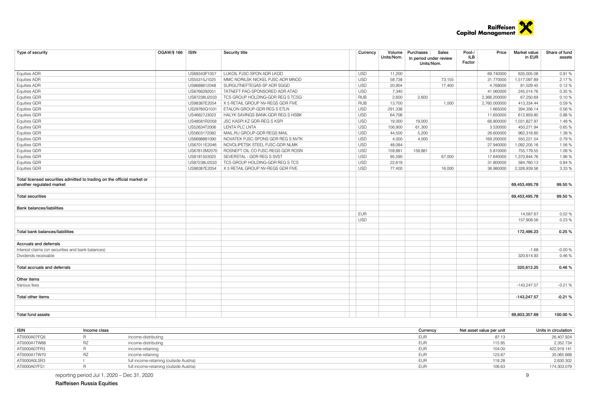

| Type of security                                                        | OGAW/§ 166   ISIN | Security title                    | Currency   |            | Volume Purchases | Sales                  | Pool-/ | Price        | Market value  | Share of fund |
|-------------------------------------------------------------------------|-------------------|-----------------------------------|------------|------------|------------------|------------------------|--------|--------------|---------------|---------------|
|                                                                         |                   |                                   |            | Units/Nom. |                  | In period under review | ILB    |              | in EUR        | assets        |
|                                                                         |                   |                                   |            |            | Units/Nom.       |                        | Factor |              |               |               |
| <b>Equities ADR</b>                                                     | US69343P1057      | LUKOIL PJSC-SPON ADR LKOD         | <b>USD</b> | 11,200     |                  |                        |        | 69.740000    | 635,005.08    | 0.91%         |
| <b>Equities ADR</b>                                                     | US55315J1025      | MMC NORILSK NICKEL PJSC-ADR MNOD  | <b>USD</b> | 58,738     |                  | 73,155                 |        | 31.770000    | 1,517,097.89  | 2.17%         |
| <b>Equities ADR</b>                                                     | US8688612048      | SURGUTNEFTEGAS-SP ADR SGGD        | <b>USD</b> | 20,904     |                  | 17,400                 |        | 4.768000     | 81,029.45     | 0.12%         |
| <b>Equities ADR</b>                                                     | US8766292051      | TATNEFT PAO-SPONSORED ADR ATAD    | <b>USD</b> | 7,340      |                  |                        |        | 41.060000    | 245,014.76    | 0.35%         |
| <b>Equities GDR</b>                                                     | US87238U2033      | TCS GROUP HOLDING-GDR REG S TCSG  | <b>RUB</b> | 2,600      | 2,600            |                        |        | 2,366.200000 | 67.250.69     | 0.10%         |
| <b>Equities GDR</b>                                                     | US98387E2054      | X 5 RETAIL GROUP NV-REGS GDR FIVE | <b>RUB</b> | 13,700     |                  | 1,000                  |        | 2,760.000000 | 413,334.44    | 0.59%         |
| Equities GDR                                                            | US29760G1031      | ETALON GROUP-GDR REG S ETLN       | <b>USD</b> | 291,338    |                  |                        |        | 1.665000     | 394,356.14    | 0.56%         |
| <b>Equities GDR</b>                                                     | US46627J3023      | HALYK SAVINGS BANK-GDR REG S HSBK | <b>USD</b> | 64,708     |                  |                        |        | 11.650000    | 612.859.80    | 0.88%         |
| <b>Equities GDR</b>                                                     | US48581R2058      | JSC KASPI.KZ GDR-REG S KSPI       | <b>USD</b> | 19,000     | 19,000           |                        |        | 66.800000    | 1,031,827.97  | 1.48%         |
| <b>Equities GDR</b>                                                     | US52634T2006      | <b>LENTA PLC LNTA</b>             | <b>USD</b> | 156,900    | 61,300           |                        |        | 3.530000     | 450,271.94    | 0.65%         |
| <b>Equities GDR</b>                                                     | US5603172082      | MAIL.RU GROUP-GDR REGS MAIL       | <b>USD</b> | 44,500     | 5.200            |                        |        | 26,600000    | 962.318.60    | 1.38%         |
| <b>Equities GDR</b>                                                     | US6698881090      | NOVATEK PJSC-SPONS GDR REG S NVTK | <b>USD</b> | 4,000      | 4,000            |                        |        | 169.200000   | 550.221.54    | 0.79%         |
| <b>Equities GDR</b>                                                     | US67011E2046      | NOVOLIPETSK STEEL PJSC-GDR NLMK   | <b>USD</b> | 48.084     |                  |                        |        | 27.940000    | 1.092.205.16  | 1.56 %        |
| <b>Equities GDR</b>                                                     | US67812M2070      | ROSNEFT OIL CO PJSC-REGS GDR ROSN | <b>USD</b> | 159,881    | 159,881          |                        |        | 5.810000     | 755,179.55    | 1.08%         |
| <b>Equities GDR</b>                                                     | US8181503025      | SEVERSTAL - GDR REG S SVST        | <b>USD</b> | 95,590     |                  | 67,000                 |        | 17.640000    | 1,370,844.76  | 1.96%         |
| <b>Equities GDR</b>                                                     | US87238U2033      | TCS GROUP HOLDING-GDR REG S TCS   | <b>USD</b> | 22,619     |                  |                        |        | 31.800000    | 584,760.13    | 0.84 %        |
| <b>Equities GDR</b>                                                     | US98387E2054      | X 5 RETAIL GROUP NV-REGS GDR FIVE | <b>USD</b> | 77,400     |                  | 16,000                 |        | 36.980000    | 2,326,939.56  | 3.33 %        |
|                                                                         |                   |                                   |            |            |                  |                        |        |              |               |               |
| Total licensed securities admitted to trading on the official market or |                   |                                   |            |            |                  |                        |        |              |               |               |
| another regulated market                                                |                   |                                   |            |            |                  |                        |        |              | 69,453,495.78 | 99.50%        |
| <b>Total securities</b>                                                 |                   |                                   |            |            |                  |                        |        |              | 69,453,495.78 | 99.50 %       |
|                                                                         |                   |                                   |            |            |                  |                        |        |              |               |               |
| <b>Bank balances/liabilities</b>                                        |                   |                                   |            |            |                  |                        |        |              |               |               |
|                                                                         |                   |                                   | <b>EUR</b> |            |                  |                        |        |              | 14,587.67     | 0.02%         |
|                                                                         |                   |                                   | <b>USD</b> |            |                  |                        |        |              | 157.908.56    | 0.23 %        |
|                                                                         |                   |                                   |            |            |                  |                        |        |              |               |               |
| Total bank balances/liabilities                                         |                   |                                   |            |            |                  |                        |        |              | 172,496.23    | 0.25%         |
|                                                                         |                   |                                   |            |            |                  |                        |        |              |               |               |
| Accruals and deferrals                                                  |                   |                                   |            |            |                  |                        |        |              |               |               |
| Interest claims (on securities and bank balances)                       |                   |                                   |            |            |                  |                        |        |              | $-1.68$       | $-0.00%$      |
| Dividends receivable                                                    |                   |                                   |            |            |                  |                        |        |              | 320,614.93    | 0.46%         |
| Total accruals and deferrals                                            |                   |                                   |            |            |                  |                        |        |              | 320,613.25    | 0.46%         |
|                                                                         |                   |                                   |            |            |                  |                        |        |              |               |               |
| Other items                                                             |                   |                                   |            |            |                  |                        |        |              |               |               |
| Various fees                                                            |                   |                                   |            |            |                  |                        |        |              | $-143.247.57$ | $-0.21%$      |
|                                                                         |                   |                                   |            |            |                  |                        |        |              |               |               |
| <b>Total other items</b>                                                |                   |                                   |            |            |                  |                        |        |              | $-143,247.57$ | $-0.21%$      |
|                                                                         |                   |                                   |            |            |                  |                        |        |              |               |               |
| <b>Total fund assets</b>                                                |                   |                                   |            |            |                  |                        |        |              | 69.803.357.69 | 100.00%       |

| <b>ISIN</b>  | Income class |                                         | Currency   | Net asset value per unit | Units in circulation |
|--------------|--------------|-----------------------------------------|------------|--------------------------|----------------------|
| AT0000A07FQ5 |              | income-distributing                     | <b>EUF</b> | 87.13                    | 26,407.924           |
| AT0000A1TW88 |              | income-distributing                     | <b>EUP</b> | 115.95                   | 2,352.734            |
| AT0000A07FR3 |              | income-retaining                        | <b>EUR</b> | 104.00                   | 422,919.141          |
| AT0000A1TW70 |              | income-retaining                        | <b>EUF</b> | 123.87                   | 35,065.668           |
| AT0000A0LSR3 |              | full income-retaining (outside Austria) | <b>EUR</b> | 118.28                   | 2,630.302            |
| AT0000A07FS1 |              | full income-retaining (outside Austria) | <b>EUR</b> | 106.63                   | 174,303.079          |

reporting period Jul 1, 2020 – Dec 31, 2020

Raiffeisen Russia Equities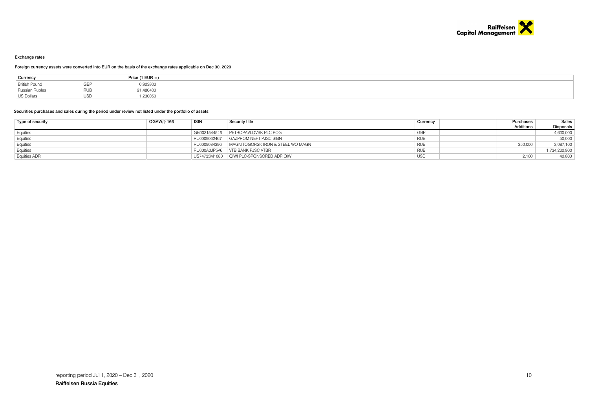

#### Exchange rates

#### Foreign currency assets were converted into EUR on the basis of the exchange rates applicable on Dec 30, 2020

| Currency             |     | Price (1 EUR =) |
|----------------------|-----|-----------------|
| <b>British Pound</b> | GBP | 0.903800        |
| Russian Rubles       |     | 91.480400       |
| US Dollars           |     | .230050         |

#### Securities purchases and sales during the period under review not listed under the portfolio of assets:

| Type of security | OGAW/§ 166 | <b>ISIN</b>  | Security title                             | Purchases<br>Currency | Sales            |
|------------------|------------|--------------|--------------------------------------------|-----------------------|------------------|
|                  |            |              |                                            | <b>Additions</b>      | <b>Disposals</b> |
| Equities         |            | GB0031544546 | PETROPAVLOVSK PLC POG                      | GBP                   | 4,600,000        |
| Equities         |            | RU0009062467 | GAZPROM NEFT PJSC SIBN                     | <b>RUB</b>            | 50,000           |
| Equities         |            | RU0009084396 | MAGNITOGORSK IRON & STEEL WO MAGN          | RUB<br>350,000        | 3,087,100        |
| Equities         |            |              | RU000A0JP5V6 VTB BANK PJSC VTBR            | <b>RUB</b>            | ,734,200,900     |
| Equities ADR     |            |              | US74735M1080   QIWI PLC-SPONSORED ADR QIWI | 2.100<br><b>USD</b>   | 40,800           |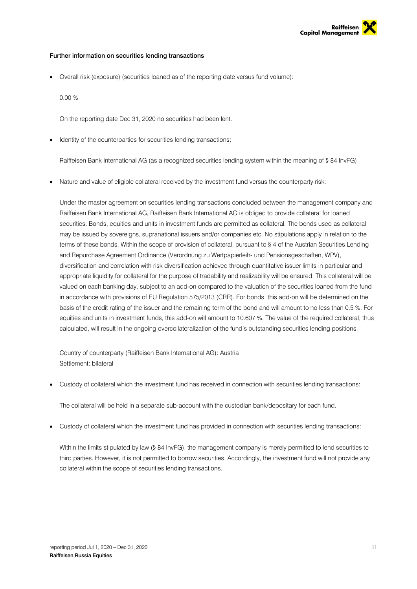

#### Further information on securities lending transactions

Overall risk (exposure) (securities loaned as of the reporting date versus fund volume):

0.00 %

On the reporting date Dec 31, 2020 no securities had been lent.

Identity of the counterparties for securities lending transactions:

Raiffeisen Bank International AG (as a recognized securities lending system within the meaning of § 84 InvFG)

• Nature and value of eligible collateral received by the investment fund versus the counterparty risk:

Under the master agreement on securities lending transactions concluded between the management company and Raiffeisen Bank International AG, Raiffeisen Bank International AG is obliged to provide collateral for loaned securities. Bonds, equities and units in investment funds are permitted as collateral. The bonds used as collateral may be issued by sovereigns, supranational issuers and/or companies etc. No stipulations apply in relation to the terms of these bonds. Within the scope of provision of collateral, pursuant to § 4 of the Austrian Securities Lending and Repurchase Agreement Ordinance (Verordnung zu Wertpapierleih- und Pensionsgeschäften, WPV), diversification and correlation with risk diversification achieved through quantitative issuer limits in particular and appropriate liquidity for collateral for the purpose of tradability and realizability will be ensured. This collateral will be valued on each banking day, subject to an add-on compared to the valuation of the securities loaned from the fund in accordance with provisions of EU Regulation 575/2013 (CRR). For bonds, this add-on will be determined on the basis of the credit rating of the issuer and the remaining term of the bond and will amount to no less than 0.5 %. For equities and units in investment funds, this add-on will amount to 10.607 %. The value of the required collateral, thus calculated, will result in the ongoing overcollateralization of the fund's outstanding securities lending positions.

Country of counterparty (Raiffeisen Bank International AG): Austria Settlement: bilateral

Custody of collateral which the investment fund has received in connection with securities lending transactions:

The collateral will be held in a separate sub-account with the custodian bank/depositary for each fund.

Custody of collateral which the investment fund has provided in connection with securities lending transactions:

Within the limits stipulated by law (§ 84 InvFG), the management company is merely permitted to lend securities to third parties. However, it is not permitted to borrow securities. Accordingly, the investment fund will not provide any collateral within the scope of securities lending transactions.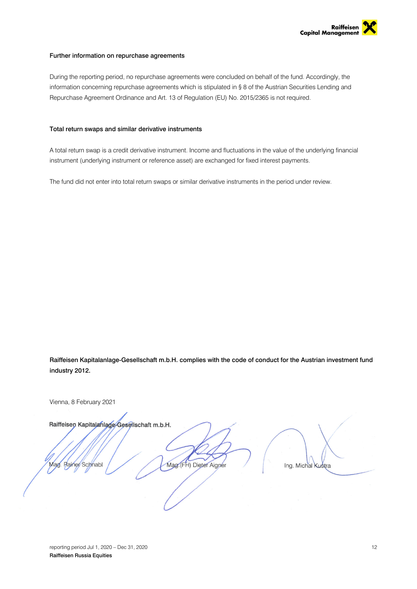

#### Further information on repurchase agreements

During the reporting period, no repurchase agreements were concluded on behalf of the fund. Accordingly, the information concerning repurchase agreements which is stipulated in § 8 of the Austrian Securities Lending and Repurchase Agreement Ordinance and Art. 13 of Regulation (EU) No. 2015/2365 is not required.

#### Total return swaps and similar derivative instruments

A total return swap is a credit derivative instrument. Income and fluctuations in the value of the underlying financial instrument (underlying instrument or reference asset) are exchanged for fixed interest payments.

The fund did not enter into total return swaps or similar derivative instruments in the period under review.

Raiffeisen Kapitalanlage-Gesellschaft m.b.H. complies with the code of conduct for the Austrian investment fund industry 2012.

Vienna, 8 February 2021

Raiffeisen Kapitalanlage-Gesellschaft m.b.H.

Rainer Schnabl **Mag** 

Mag. (FH) Dieter Aigner

Ing. Michal Kustra